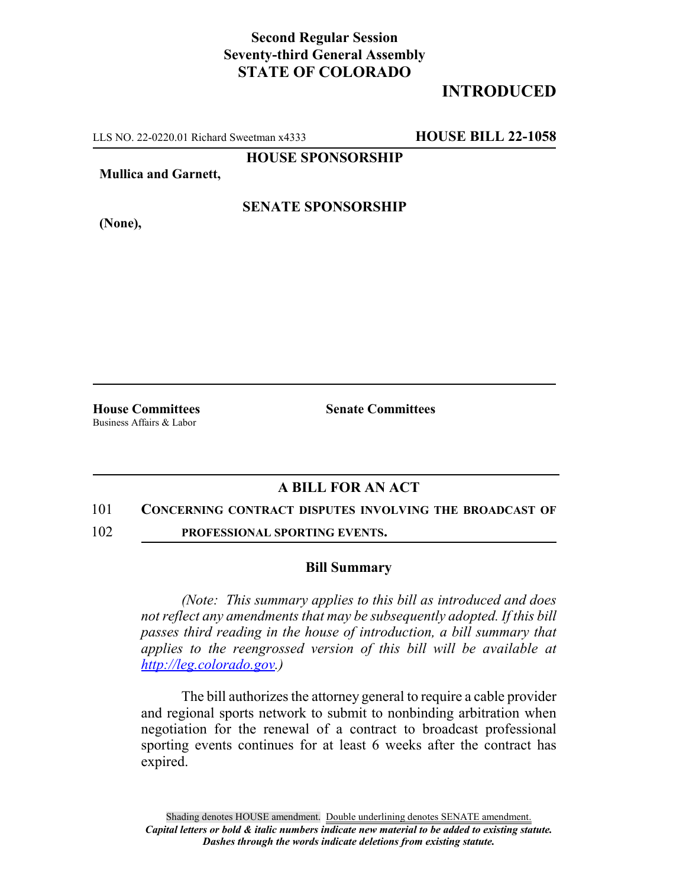## **Second Regular Session Seventy-third General Assembly STATE OF COLORADO**

# **INTRODUCED**

LLS NO. 22-0220.01 Richard Sweetman x4333 **HOUSE BILL 22-1058**

**HOUSE SPONSORSHIP**

**Mullica and Garnett,**

**(None),**

**SENATE SPONSORSHIP**

Business Affairs & Labor

**House Committees Senate Committees** 

### **A BILL FOR AN ACT**

#### 101 **CONCERNING CONTRACT DISPUTES INVOLVING THE BROADCAST OF**

102 **PROFESSIONAL SPORTING EVENTS.**

### **Bill Summary**

*(Note: This summary applies to this bill as introduced and does not reflect any amendments that may be subsequently adopted. If this bill passes third reading in the house of introduction, a bill summary that applies to the reengrossed version of this bill will be available at http://leg.colorado.gov.)*

The bill authorizes the attorney general to require a cable provider and regional sports network to submit to nonbinding arbitration when negotiation for the renewal of a contract to broadcast professional sporting events continues for at least 6 weeks after the contract has expired.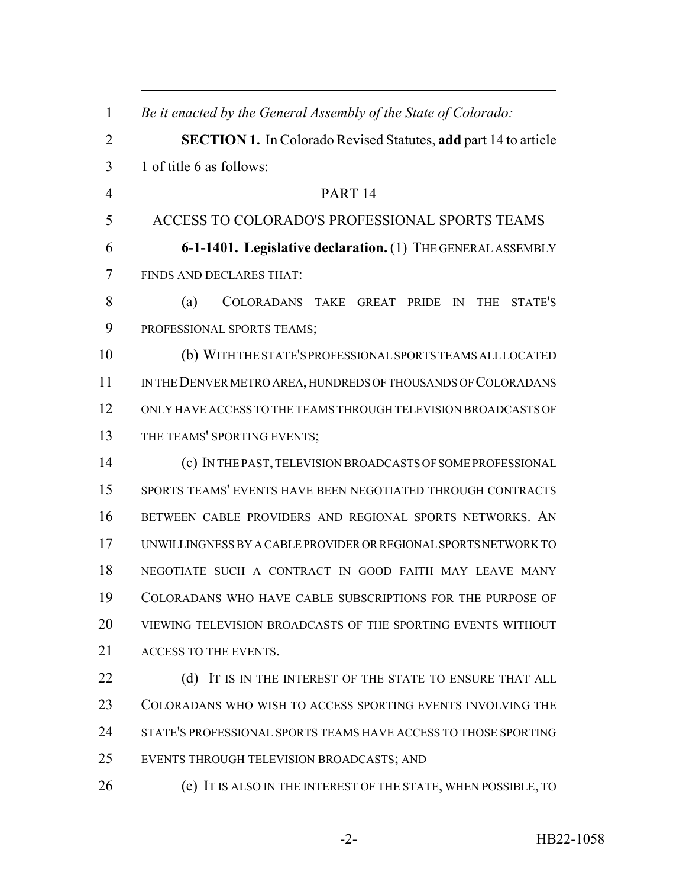| $\mathbf{1}$   | Be it enacted by the General Assembly of the State of Colorado:        |
|----------------|------------------------------------------------------------------------|
| 2              | <b>SECTION 1.</b> In Colorado Revised Statutes, add part 14 to article |
| 3              | 1 of title 6 as follows:                                               |
| $\overline{4}$ | PART <sub>14</sub>                                                     |
| 5              | ACCESS TO COLORADO'S PROFESSIONAL SPORTS TEAMS                         |
| 6              | 6-1-1401. Legislative declaration. (1) THE GENERAL ASSEMBLY            |
| 7              | FINDS AND DECLARES THAT:                                               |
| 8              | (a)<br>STATE'S<br>COLORADANS TAKE GREAT PRIDE IN<br>THE                |
| 9              | PROFESSIONAL SPORTS TEAMS;                                             |
| 10             | (b) WITH THE STATE'S PROFESSIONAL SPORTS TEAMS ALL LOCATED             |
| 11             | IN THE DENVER METRO AREA, HUNDREDS OF THOUSANDS OF COLORADANS          |
| 12             | ONLY HAVE ACCESS TO THE TEAMS THROUGH TELEVISION BROADCASTS OF         |
| 13             | THE TEAMS' SPORTING EVENTS;                                            |
| 14             | (c) IN THE PAST, TELEVISION BROADCASTS OF SOME PROFESSIONAL            |
| 15             | SPORTS TEAMS' EVENTS HAVE BEEN NEGOTIATED THROUGH CONTRACTS            |
| 16             | BETWEEN CABLE PROVIDERS AND REGIONAL SPORTS NETWORKS. AN               |
| 17             | UNWILLINGNESS BY A CABLE PROVIDER OR REGIONAL SPORTS NETWORK TO        |
| 18             | NEGOTIATE SUCH A CONTRACT IN GOOD FAITH MAY LEAVE MANY                 |
| 19             | COLORADANS WHO HAVE CABLE SUBSCRIPTIONS FOR THE PURPOSE OF             |
| 20             | VIEWING TELEVISION BROADCASTS OF THE SPORTING EVENTS WITHOUT           |
| 21             | ACCESS TO THE EVENTS.                                                  |
| 22             | (d) IT IS IN THE INTEREST OF THE STATE TO ENSURE THAT ALL              |
| 23             | COLORADANS WHO WISH TO ACCESS SPORTING EVENTS INVOLVING THE            |
| 24             | STATE'S PROFESSIONAL SPORTS TEAMS HAVE ACCESS TO THOSE SPORTING        |
| 25             | EVENTS THROUGH TELEVISION BROADCASTS; AND                              |
| 26             | (e) IT IS ALSO IN THE INTEREST OF THE STATE, WHEN POSSIBLE, TO         |